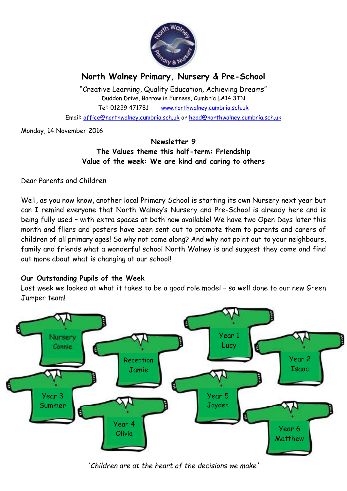

## **North Walney Primary, Nursery & Pre-School**

"Creative Learning, Quality Education, Achieving Dreams" Duddon Drive, Barrow in Furness, Cumbria LA14 3TN Tel: 01229 471781 www.northwalney.cumbria.sch.uk Email: office@northwalney.cumbria.sch.uk or head@northwalney.cumbria.sch.uk

Monday, 14 November 2016

### **Newsletter 9 The Values theme this half-term: Friendship Value of the week: We are kind and caring to others**

Dear Parents and Children

Well, as you now know, another local Primary School is starting its own Nursery next year but can I remind everyone that North Walney's Nursery and Pre-School is already here and is being fully used – with extra spaces at both now available! We have two Open Days later this month and fliers and posters have been sent out to promote them to parents and carers of children of all primary ages! So why not come along? And why not point out to your neighbours, family and friends what a wonderful school North Walney is and suggest they come and find out more about what is changing at our school!

### **Our Outstanding Pupils of the Week**

Last week we looked at what it takes to be a good role model – so well done to our new Green Jumper team!



*'Children are at the heart of the decisions we make'*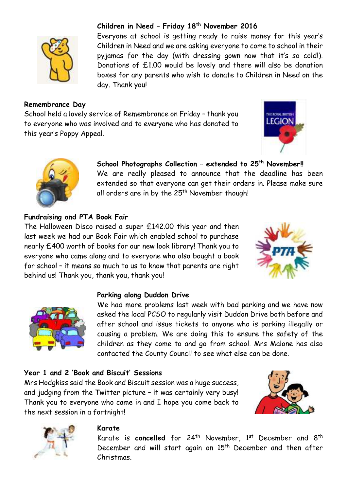

### **Remembrance Day**

School held a lovely service of Remembrance on Friday – thank you to everyone who was involved and to everyone who has donated to this year's Poppy Appeal.

day. Thank you!

# THE ROSAL BATTEL **LEGION**



**School Photographs Collection – extended to 25th November!!** We are really pleased to announce that the deadline has been extended so that everyone can get their orders in. Please make sure all orders are in by the 25<sup>th</sup> November though!

Everyone at school is getting ready to raise money for this year's Children in Need and we are asking everyone to come to school in their pyjamas for the day (with dressing gown now that it's so cold!). Donations of £1.00 would be lovely and there will also be donation boxes for any parents who wish to donate to Children in Need on the

**Children in Need – Friday 18th November 2016**

### **Fundraising and PTA Book Fair**

The Halloween Disco raised a super £142.00 this year and then last week we had our Book Fair which enabled school to purchase nearly £400 worth of books for our new look library! Thank you to everyone who came along and to everyone who also bought a book for school – it means so much to us to know that parents are right behind us! Thank you, thank you, thank you!





### **Parking along Duddon Drive**

We had more problems last week with bad parking and we have now asked the local PCSO to regularly visit Duddon Drive both before and after school and issue tickets to anyone who is parking illegally or causing a problem. We are doing this to ensure the safety of the children as they come to and go from school. Mrs Malone has also contacted the County Council to see what else can be done.

### **Year 1 and 2 'Book and Biscuit' Sessions**

Mrs Hodgkiss said the Book and Biscuit session was a huge success, and judging from the Twitter picture – it was certainly very busy! Thank you to everyone who came in and I hope you come back to the next session in a fortnight!





#### **Karate**

Karate is **cancelled** for 24<sup>th</sup> November, 1<sup>st</sup> December and 8<sup>th</sup> December and will start again on 15<sup>th</sup> December and then after Christmas.